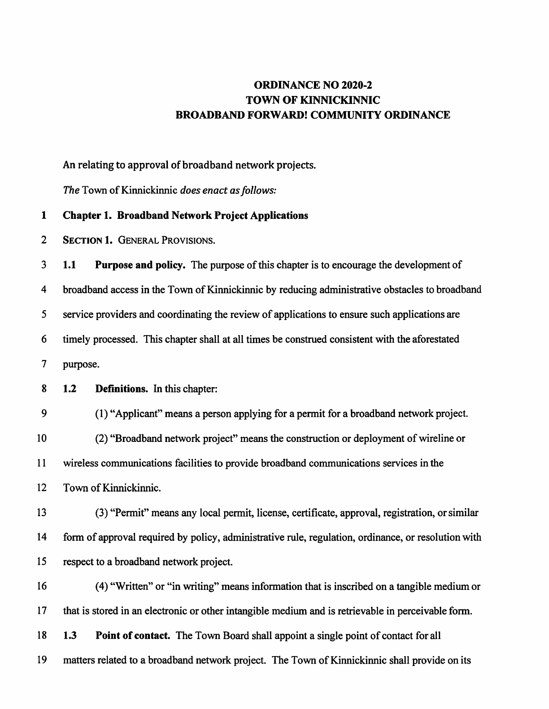## ORDINANCE NO 2020-2 TOWN OF KINNICKINNIC BROADBAND FORWARD! COMMUNITY ORDINANCE

An relating to approval of broadband network projects.

The Town of Kinnickinnic does enact as follows:

## 1 Chapter 1. Broadband Network Project Applications

2 Section 1. General Provisions.

 1.1 Purpose and policy. The purpose of this chapter is to encourage the development of broadband access in the Town of Kinnickinnic by reducing administrative obstacles to broadband service providers and coordinating the review of applications to ensure such applications are timely processed. This chapter shall at all times be construed consistent with the aforestated 7 purpose.

8 1.2 Definitions. In this chapter:

9 (1) "Applicant" means a person applying for a permit for a broadband network project. 10 (2) "Broadband network project" means the construction or deployment of wireline or 11 wireless communications facilities to provide broadband communications services in the 12 Town of Kinnickinnic.

13 (3) "Permit" means any local permit, license, certificate, approval, registration, or similar 14 form of approval required by policy, administrative rule, regulation, ordinance, or resolution with 15 respect to a broadband network project.

16 (4) "Written" or "in writing" means information that is inscribed on a tangible medium or 17 that is stored in an electronic or other intangible medium and is retrievable in perceivable form. 18 1.3 Point of contact. The Town Board shall appoint a single point of contact for all 19 matters related to a broadband network project. The Town of Kinnickinnic shall provide on its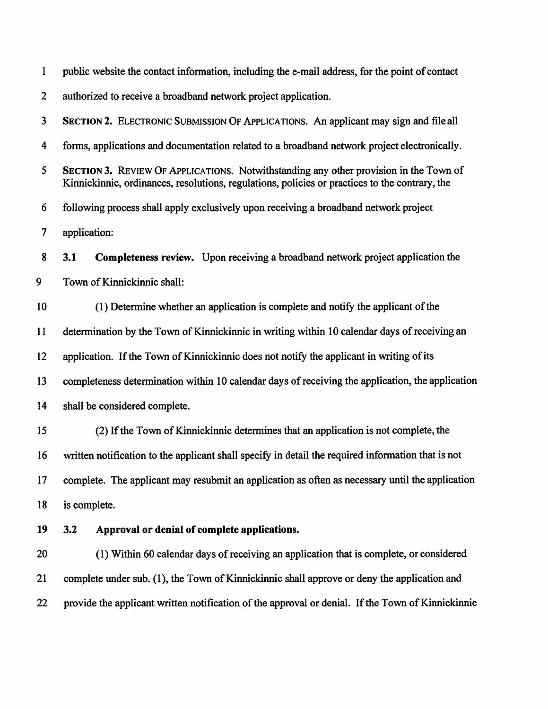| $\mathbf{1}$   | public website the contact information, including the e-mail address, for the point of contact                                                                                          |
|----------------|-----------------------------------------------------------------------------------------------------------------------------------------------------------------------------------------|
| $\overline{2}$ | authorized to receive a broadband network project application.                                                                                                                          |
| 3              | SECTION 2. ELECTRONIC SUBMISSION OF APPLICATIONS. An applicant may sign and file all                                                                                                    |
| 4              | forms, applications and documentation related to a broadband network project electronically.                                                                                            |
| 5              | SECTION 3. REVIEW OF APPLICATIONS. Notwithstanding any other provision in the Town of<br>Kinnickinnic, ordinances, resolutions, regulations, policies or practices to the contrary, the |
| 6              | following process shall apply exclusively upon receiving a broadband network project                                                                                                    |
| $\overline{7}$ | application:                                                                                                                                                                            |
| 8              | <b>Completeness review.</b> Upon receiving a broadband network project application the<br>3.1                                                                                           |
| 9              | Town of Kinnickinnic shall:                                                                                                                                                             |
| 10             | (1) Determine whether an application is complete and notify the applicant of the                                                                                                        |
| 11             | determination by the Town of Kinnickinnic in writing within 10 calendar days of receiving an                                                                                            |
| 12             | application. If the Town of Kinnickinnic does not notify the applicant in writing of its                                                                                                |
| 13             | completeness determination within 10 calendar days of receiving the application, the application                                                                                        |
| 14             | shall be considered complete.                                                                                                                                                           |
| 15             | (2) If the Town of Kinnickinnic determines that an application is not complete, the                                                                                                     |
| 16             | written notification to the applicant shall specify in detail the required information that is not                                                                                      |
| 17             | complete. The applicant may resubmit an application as often as necessary until the application                                                                                         |
| 18             | is complete.                                                                                                                                                                            |
| 19             | 3.2<br>Approval or denial of complete applications.                                                                                                                                     |
| 20             | (1) Within 60 calendar days of receiving an application that is complete, or considered                                                                                                 |
| 21             | complete under sub. (1), the Town of Kinnickinnic shall approve or deny the application and                                                                                             |
| 22             | provide the applicant written notification of the approval or denial. If the Town of Kinnickinnic                                                                                       |
|                |                                                                                                                                                                                         |